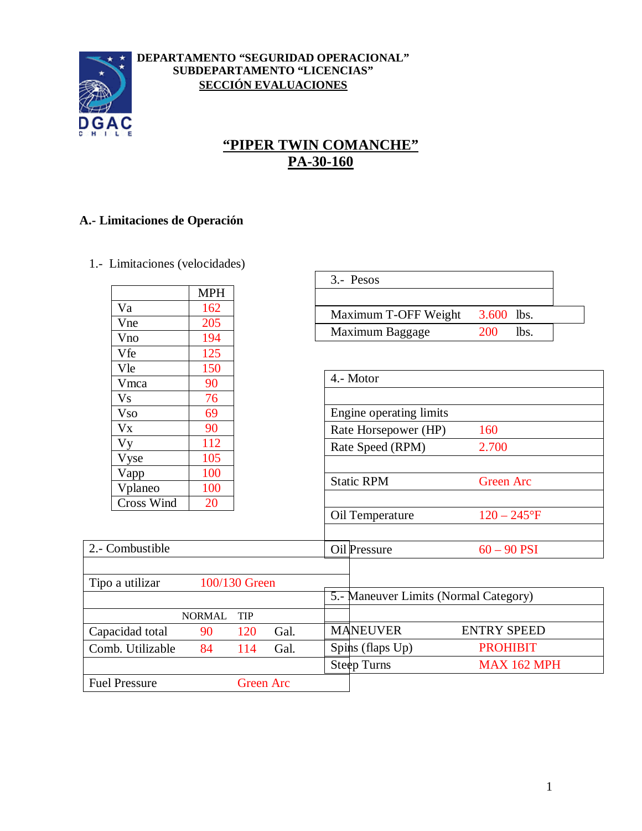

#### **DEPARTAMENTO "SEGURIDAD OPERACIONAL" SUBDEPARTAMENTO "LICENCIAS" SECCIÓN EVALUACIONES**

# **"PIPER TWIN COMANCHE" PA-30-160**

### **A.- Limitaciones de Operación**

1.- Limitaciones (velocidades)

|                      | MPH |
|----------------------|-----|
| Va                   | 162 |
| Vne                  | 205 |
| Vno                  | 194 |
| Vfe                  | 125 |
| Vle                  | 150 |
| Vmca                 | 90  |
| <b>Vs</b>            | 76  |
| <b>Vso</b>           | 69  |
| <b>V<sub>x</sub></b> | 90  |
| <b>Vy</b>            | 112 |
| Vyse                 | 105 |
| Vapp                 | 100 |
| Vplaneo              | 100 |
| <b>Cross Wind</b>    | 20  |

| $3 -$ Pesos          |              |      |
|----------------------|--------------|------|
|                      |              |      |
| Maximum T-OFF Weight | $3.600$ lbs. |      |
| Maximum Baggage      | 200.         | lbs. |

| Vle                  | 150           |            |                      |  |                         |                                       |
|----------------------|---------------|------------|----------------------|--|-------------------------|---------------------------------------|
| Vmca                 | 90            |            |                      |  | 4.- Motor               |                                       |
| <b>Vs</b>            | 76            |            |                      |  |                         |                                       |
| <b>Vso</b>           | 69            |            |                      |  | Engine operating limits |                                       |
| <b>V<sub>x</sub></b> | 90            |            | Rate Horsepower (HP) |  | 160                     |                                       |
| Vy                   | 112           |            |                      |  | Rate Speed (RPM)        | 2.700                                 |
| <b>Vyse</b>          | 105           |            |                      |  |                         |                                       |
| Vapp                 | 100           |            |                      |  | <b>Static RPM</b>       | <b>Green Arc</b>                      |
| Vplaneo              | 100           |            |                      |  |                         |                                       |
| Cross Wind           | 20            |            |                      |  |                         |                                       |
|                      |               |            |                      |  | Oil Temperature         | $120 - 245$ °F                        |
|                      |               |            |                      |  |                         |                                       |
| 2.- Combustible      |               |            |                      |  | Oil Pressure            | $60 - 90$ PSI                         |
|                      |               |            |                      |  |                         |                                       |
| Tipo a utilizar      | 100/130 Green |            |                      |  |                         |                                       |
|                      |               |            |                      |  |                         | 5.- Maneuver Limits (Normal Category) |
|                      | <b>NORMAL</b> | <b>TIP</b> |                      |  |                         |                                       |
| Capacidad total      | 90            | 120        | Gal.                 |  | <b>MANEUVER</b>         | <b>ENTRY SPEED</b>                    |
| Comb. Utilizable     | 84            | 114        | Gal.                 |  | Spins (flaps Up)        | <b>PROHIBIT</b>                       |
|                      |               |            |                      |  | <b>Steep Turns</b>      | <b>MAX 162 MPH</b>                    |
| <b>Fuel Pressure</b> |               |            | <b>Green Arc</b>     |  |                         |                                       |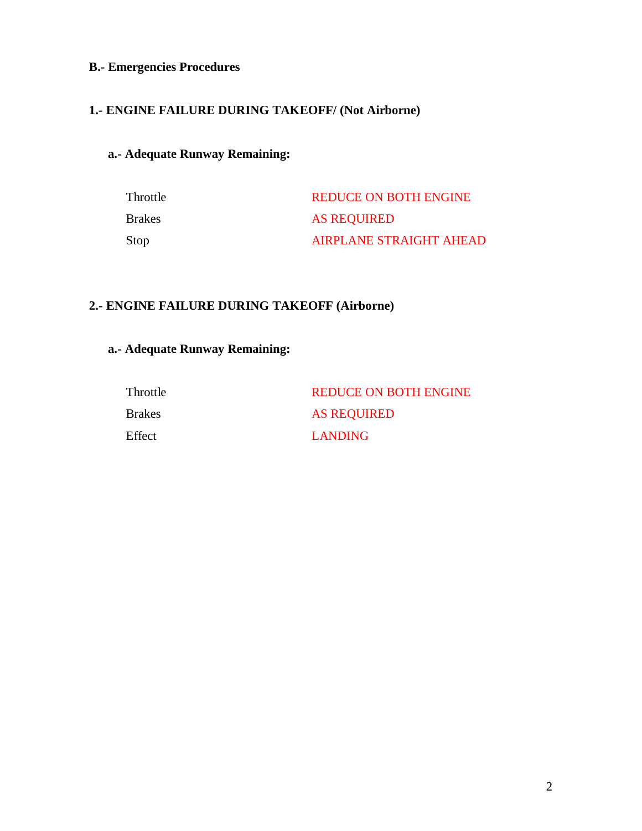## **B.- Emergencies Procedures**

### **1.- ENGINE FAILURE DURING TAKEOFF/ (Not Airborne)**

## **a.- Adequate Runway Remaining:**

| Throttle      | <b>REDUCE ON BOTH ENGINE</b>   |
|---------------|--------------------------------|
| <b>Brakes</b> | <b>AS REQUIRED</b>             |
| Stop          | <b>AIRPLANE STRAIGHT AHEAD</b> |

#### **2.- ENGINE FAILURE DURING TAKEOFF (Airborne)**

## **a.- Adequate Runway Remaining:**

| Throttle | <b>REDUCE ON BOTH ENGINE</b> |
|----------|------------------------------|
| Brakes   | <b>AS REQUIRED</b>           |
| Effect   | LANDING                      |